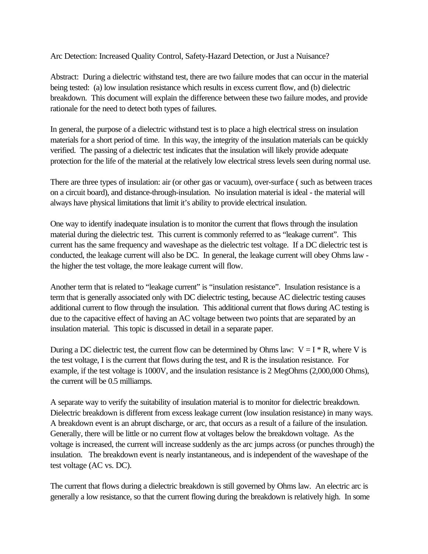Arc Detection: Increased Quality Control, Safety-Hazard Detection, or Just a Nuisance?

Abstract: During a dielectric withstand test, there are two failure modes that can occur in the material being tested: (a) low insulation resistance which results in excess current flow, and (b) dielectric breakdown. This document will explain the difference between these two failure modes, and provide rationale for the need to detect both types of failures.

In general, the purpose of a dielectric withstand test is to place a high electrical stress on insulation materials for a short period of time. In this way, the integrity of the insulation materials can be quickly verified. The passing of a dielectric test indicates that the insulation will likely provide adequate protection for the life of the material at the relatively low electrical stress levels seen during normal use.

There are three types of insulation: air (or other gas or vacuum), over-surface ( such as between traces on a circuit board), and distance-through-insulation. No insulation material is ideal - the material will always have physical limitations that limit it's ability to provide electrical insulation.

One way to identify inadequate insulation is to monitor the current that flows through the insulation material during the dielectric test. This current is commonly referred to as "leakage current". This current has the same frequency and waveshape as the dielectric test voltage. If a DC dielectric test is conducted, the leakage current will also be DC. In general, the leakage current will obey Ohms law the higher the test voltage, the more leakage current will flow.

Another term that is related to "leakage current" is "insulation resistance". Insulation resistance is a term that is generally associated only with DC dielectric testing, because AC dielectric testing causes additional current to flow through the insulation. This additional current that flows during AC testing is due to the capacitive effect of having an AC voltage between two points that are separated by an insulation material. This topic is discussed in detail in a separate paper.

During a DC dielectric test, the current flow can be determined by Ohms law:  $V = I * R$ , where V is the test voltage, I is the current that flows during the test, and R is the insulation resistance. For example, if the test voltage is 1000V, and the insulation resistance is 2 MegOhms (2,000,000 Ohms), the current will be 0.5 milliamps.

A separate way to verify the suitability of insulation material is to monitor for dielectric breakdown. Dielectric breakdown is different from excess leakage current (low insulation resistance) in many ways. A breakdown event is an abrupt discharge, or arc, that occurs as a result of a failure of the insulation. Generally, there will be little or no current flow at voltages below the breakdown voltage. As the voltage is increased, the current will increase suddenly as the arc jumps across (or punches through) the insulation. The breakdown event is nearly instantaneous, and is independent of the waveshape of the test voltage (AC vs. DC).

The current that flows during a dielectric breakdown is still governed by Ohms law. An electric arc is generally a low resistance, so that the current flowing during the breakdown is relatively high. In some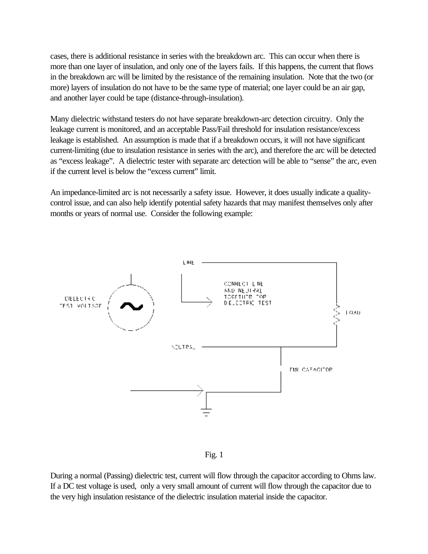cases, there is additional resistance in series with the breakdown arc. This can occur when there is more than one layer of insulation, and only one of the layers fails. If this happens, the current that flows in the breakdown arc will be limited by the resistance of the remaining insulation. Note that the two (or more) layers of insulation do not have to be the same type of material; one layer could be an air gap, and another layer could be tape (distance-through-insulation).

Many dielectric withstand testers do not have separate breakdown-arc detection circuitry. Only the leakage current is monitored, and an acceptable Pass/Fail threshold for insulation resistance/excess leakage is established. An assumption is made that if a breakdown occurs, it will not have significant current-limiting (due to insulation resistance in series with the arc), and therefore the arc will be detected as "excess leakage". A dielectric tester with separate arc detection will be able to "sense" the arc, even if the current level is below the "excess current" limit.

An impedance-limited arc is not necessarily a safety issue. However, it does usually indicate a qualitycontrol issue, and can also help identify potential safety hazards that may manifest themselves only after months or years of normal use. Consider the following example:



Fig. 1

During a normal (Passing) dielectric test, current will flow through the capacitor according to Ohms law. If a DC test voltage is used, only a very small amount of current will flow through the capacitor due to the very high insulation resistance of the dielectric insulation material inside the capacitor.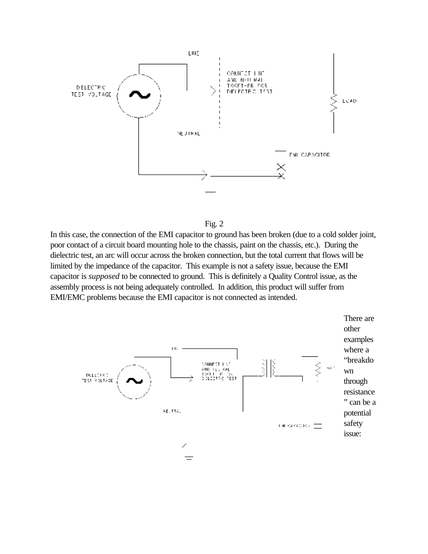

![](_page_2_Figure_1.jpeg)

In this case, the connection of the EMI capacitor to ground has been broken (due to a cold solder joint, poor contact of a circuit board mounting hole to the chassis, paint on the chassis, etc.). During the dielectric test, an arc will occur across the broken connection, but the total current that flows will be limited by the impedance of the capacitor. This example is not a safety issue, because the EMI capacitor is *supposed* to be connected to ground. This is definitely a Quality Control issue, as the assembly process is not being adequately controlled. In addition, this product will suffer from EMI/EMC problems because the EMI capacitor is not connected as intended.

![](_page_2_Figure_3.jpeg)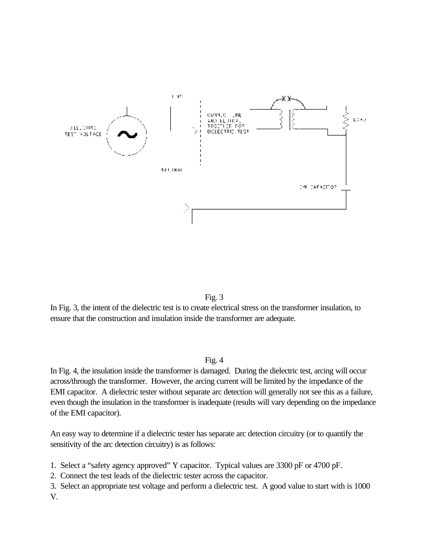![](_page_3_Figure_0.jpeg)

![](_page_3_Figure_1.jpeg)

In Fig. 3, the intent of the dielectric test is to create electrical stress on the transformer insulation, to ensure that the construction and insulation inside the transformer are adequate.

Fig.  $4$ 

In Fig. 4, the insulation inside the transformer is damaged. During the dielectric test, arcing will occur across/through the transformer. However, the arcing current will be limited by the impedance of the EMI capacitor. A dielectric tester without separate arc detection will generally not see this as a failure, even though the insulation in the transformer is inadequate (results will vary depending on the impedance of the EMI capacitor).

An easy way to determine if a dielectric tester has separate arc detection circuitry (or to quantify the sensitivity of the arc detection circuitry) is as follows:

1. Select a "safety agency approved" Y capacitor. Typical values are 3300 pF or 4700 pF.

2. Connect the test leads of the dielectric tester across the capacitor.

3. Select an appropriate test voltage and perform a dielectric test. A good value to start with is 1000 V.